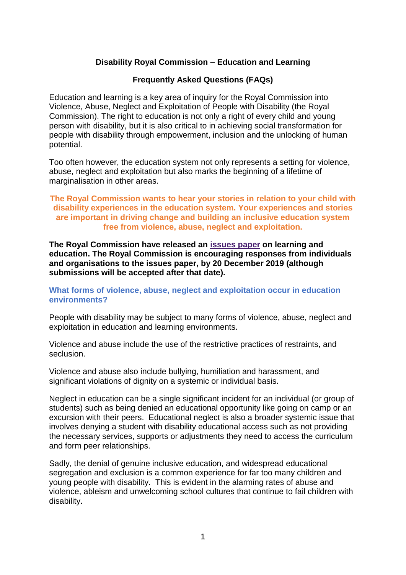# **Disability Royal Commission – Education and Learning**

# **Frequently Asked Questions (FAQs)**

Education and learning is a key area of inquiry for the Royal Commission into Violence, Abuse, Neglect and Exploitation of People with Disability (the Royal Commission). The right to education is not only a right of every child and young person with disability, but it is also critical to in achieving social transformation for people with disability through empowerment, inclusion and the unlocking of human potential.

Too often however, the education system not only represents a setting for violence, abuse, neglect and exploitation but also marks the beginning of a lifetime of marginalisation in other areas.

# **The Royal Commission wants to hear your stories in relation to your child with disability experiences in the education system. Your experiences and stories are important in driving change and building an inclusive education system free from violence, abuse, neglect and exploitation.**

**The Royal Commission have released an [issues paper](https://disability.royalcommission.gov.au/publications/Pages/default.aspx) on learning and education. The Royal Commission is encouraging responses from individuals and organisations to the issues paper, by 20 December 2019 (although submissions will be accepted after that date).**

# **What forms of violence, abuse, neglect and exploitation occur in education environments?**

People with disability may be subject to many forms of violence, abuse, neglect and exploitation in education and learning environments.

Violence and abuse include the use of the restrictive practices of restraints, and seclusion.

Violence and abuse also include bullying, humiliation and harassment, and significant violations of dignity on a systemic or individual basis.

Neglect in education can be a single significant incident for an individual (or group of students) such as being denied an educational opportunity like going on camp or an excursion with their peers. Educational neglect is also a broader systemic issue that involves denying a student with disability educational access such as not providing the necessary services, supports or adjustments they need to access the curriculum and form peer relationships.

Sadly, the denial of genuine inclusive education, and widespread educational segregation and exclusion is a common experience for far too many children and young people with disability. This is evident in the alarming rates of abuse and violence, ableism and unwelcoming school cultures that continue to fail children with disability.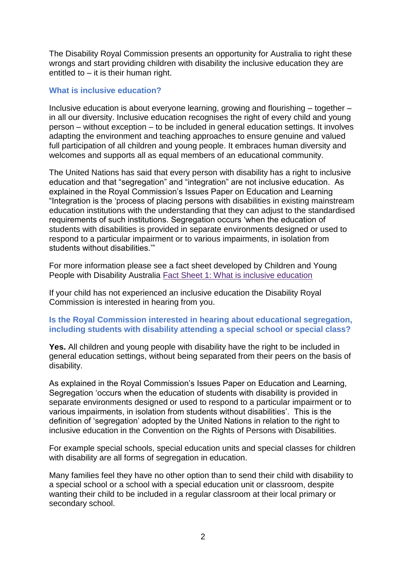The Disability Royal Commission presents an opportunity for Australia to right these wrongs and start providing children with disability the inclusive education they are entitled to  $-$  it is their human right.

# **What is inclusive education?**

Inclusive education is about everyone learning, growing and flourishing – together – in all our diversity. Inclusive education recognises the right of every child and young person – without exception – to be included in general education settings. It involves adapting the environment and teaching approaches to ensure genuine and valued full participation of all children and young people. It embraces human diversity and welcomes and supports all as equal members of an educational community.

The United Nations has said that every person with disability has a right to inclusive education and that "segregation" and "integration" are not inclusive education. As explained in the Royal Commission's Issues Paper on Education and Learning "Integration is the 'process of placing persons with disabilities in existing mainstream education institutions with the understanding that they can adjust to the standardised requirements of such institutions. Segregation occurs 'when the education of students with disabilities is provided in separate environments designed or used to respond to a particular impairment or to various impairments, in isolation from students without disabilities.'"

For more information please see a fact sheet developed by Children and Young People with Disability Australia [Fact Sheet 1: What is inclusive education](https://www.cyda.org.au/inclusion-in-education)

If your child has not experienced an inclusive education the Disability Royal Commission is interested in hearing from you.

# **Is the Royal Commission interested in hearing about educational segregation, including students with disability attending a special school or special class?**

**Yes.** All children and young people with disability have the right to be included in general education settings, without being separated from their peers on the basis of disability.

As explained in the Royal Commission's Issues Paper on Education and Learning, Segregation 'occurs when the education of students with disability is provided in separate environments designed or used to respond to a particular impairment or to various impairments, in isolation from students without disabilities'. This is the definition of 'segregation' adopted by the United Nations in relation to the right to inclusive education in the Convention on the Rights of Persons with Disabilities.

For example special schools, special education units and special classes for children with disability are all forms of segregation in education.

Many families feel they have no other option than to send their child with disability to a special school or a school with a special education unit or classroom, despite wanting their child to be included in a regular classroom at their local primary or secondary school.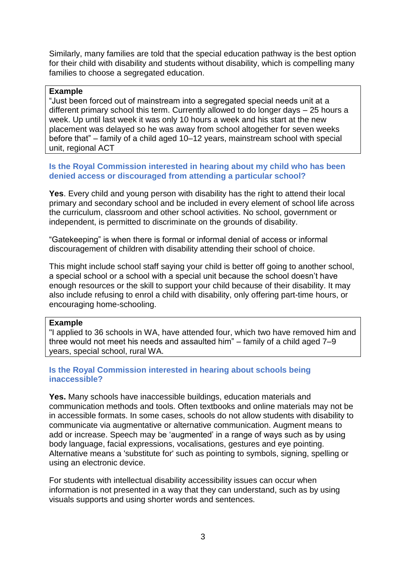Similarly, many families are told that the special education pathway is the best option for their child with disability and students without disability, which is compelling many families to choose a segregated education.

## **Example**

"Just been forced out of mainstream into a segregated special needs unit at a different primary school this term. Currently allowed to do longer days – 25 hours a week. Up until last week it was only 10 hours a week and his start at the new placement was delayed so he was away from school altogether for seven weeks before that" – family of a child aged 10–12 years, mainstream school with special unit, regional ACT

# **Is the Royal Commission interested in hearing about my child who has been denied access or discouraged from attending a particular school?**

**Yes**. Every child and young person with disability has the right to attend their local primary and secondary school and be included in every element of school life across the curriculum, classroom and other school activities. No school, government or independent, is permitted to discriminate on the grounds of disability.

"Gatekeeping" is when there is formal or informal denial of access or informal discouragement of children with disability attending their school of choice.

This might include school staff saying your child is better off going to another school, a special school or a school with a special unit because the school doesn't have enough resources or the skill to support your child because of their disability. It may also include refusing to enrol a child with disability, only offering part-time hours, or encouraging home-schooling.

#### **Example**

"I applied to 36 schools in WA, have attended four, which two have removed him and three would not meet his needs and assaulted him" – family of a child aged 7–9 years, special school, rural WA.

# **Is the Royal Commission interested in hearing about schools being inaccessible?**

**Yes.** Many schools have inaccessible buildings, education materials and communication methods and tools. Often textbooks and online materials may not be in accessible formats. In some cases, schools do not allow students with disability to communicate via augmentative or alternative communication. Augment means to add or increase. Speech may be 'augmented' in a range of ways such as by using body language, facial expressions, vocalisations, gestures and eye pointing. Alternative means a 'substitute for' such as pointing to symbols, signing, spelling or using an electronic device.

For students with intellectual disability accessibility issues can occur when information is not presented in a way that they can understand, such as by using visuals supports and using shorter words and sentences.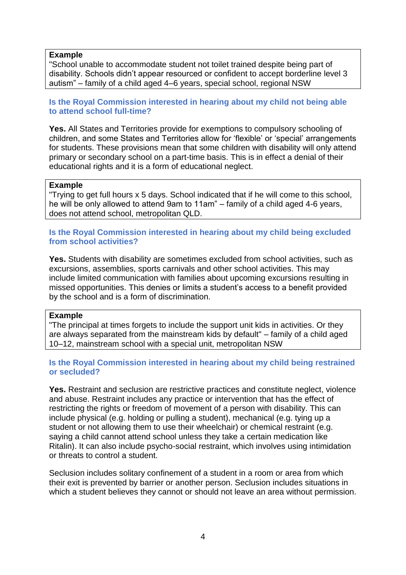### **Example**

"School unable to accommodate student not toilet trained despite being part of disability. Schools didn't appear resourced or confident to accept borderline level 3 autism" – family of a child aged 4–6 years, special school, regional NSW

**Is the Royal Commission interested in hearing about my child not being able to attend school full-time?**

**Yes.** All States and Territories provide for exemptions to compulsory schooling of children, and some States and Territories allow for 'flexible' or 'special' arrangements for students. These provisions mean that some children with disability will only attend primary or secondary school on a part-time basis. This is in effect a denial of their educational rights and it is a form of educational neglect.

### **Example**

"Trying to get full hours x 5 days. School indicated that if he will come to this school, he will be only allowed to attend 9am to 11am" – family of a child aged 4-6 years, does not attend school, metropolitan QLD.

## **Is the Royal Commission interested in hearing about my child being excluded from school activities?**

**Yes.** Students with disability are sometimes excluded from school activities, such as excursions, assemblies, sports carnivals and other school activities. This may include limited communication with families about upcoming excursions resulting in missed opportunities. This denies or limits a student's access to a benefit provided by the school and is a form of discrimination.

#### **Example**

"The principal at times forgets to include the support unit kids in activities. Or they are always separated from the mainstream kids by default" – family of a child aged 10–12, mainstream school with a special unit, metropolitan NSW

# **Is the Royal Commission interested in hearing about my child being restrained or secluded?**

Yes. Restraint and seclusion are restrictive practices and constitute neglect, violence and abuse. Restraint includes any practice or intervention that has the effect of restricting the rights or freedom of movement of a person with disability. This can include physical (e.g. holding or pulling a student), mechanical (e.g. tying up a student or not allowing them to use their wheelchair) or chemical restraint (e.g. saying a child cannot attend school unless they take a certain medication like Ritalin). It can also include psycho-social restraint, which involves using intimidation or threats to control a student.

Seclusion includes solitary confinement of a student in a room or area from which their exit is prevented by barrier or another person. Seclusion includes situations in which a student believes they cannot or should not leave an area without permission.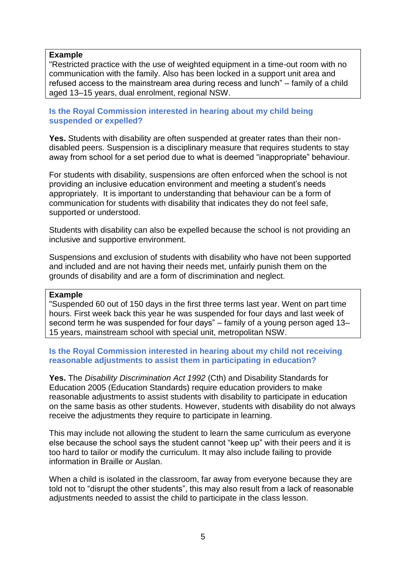### **Example**

"Restricted practice with the use of weighted equipment in a time-out room with no communication with the family. Also has been locked in a support unit area and refused access to the mainstream area during recess and lunch" – family of a child aged 13–15 years, dual enrolment, regional NSW.

### **Is the Royal Commission interested in hearing about my child being suspended or expelled?**

**Yes.** Students with disability are often suspended at greater rates than their nondisabled peers. Suspension is a disciplinary measure that requires students to stay away from school for a set period due to what is deemed "inappropriate" behaviour.

For students with disability, suspensions are often enforced when the school is not providing an inclusive education environment and meeting a student's needs appropriately. It is important to understanding that behaviour can be a form of communication for students with disability that indicates they do not feel safe, supported or understood.

Students with disability can also be expelled because the school is not providing an inclusive and supportive environment.

Suspensions and exclusion of students with disability who have not been supported and included and are not having their needs met, unfairly punish them on the grounds of disability and are a form of discrimination and neglect.

#### **Example**

"Suspended 60 out of 150 days in the first three terms last year. Went on part time hours. First week back this year he was suspended for four days and last week of second term he was suspended for four days" – family of a young person aged 13– 15 years, mainstream school with special unit, metropolitan NSW.

# **Is the Royal Commission interested in hearing about my child not receiving reasonable adjustments to assist them in participating in education?**

**Yes.** The *Disability Discrimination Act 1992* (Cth) and Disability Standards for Education 2005 (Education Standards) require education providers to make reasonable adjustments to assist students with disability to participate in education on the same basis as other students. However, students with disability do not always receive the adjustments they require to participate in learning.

This may include not allowing the student to learn the same curriculum as everyone else because the school says the student cannot "keep up" with their peers and it is too hard to tailor or modify the curriculum. It may also include failing to provide information in Braille or Auslan.

When a child is isolated in the classroom, far away from everyone because they are told not to "disrupt the other students", this may also result from a lack of reasonable adjustments needed to assist the child to participate in the class lesson.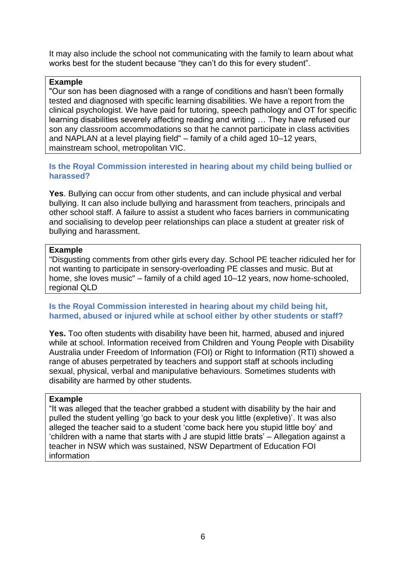It may also include the school not communicating with the family to learn about what works best for the student because "they can't do this for every student".

## **Example**

"Our son has been diagnosed with a range of conditions and hasn't been formally tested and diagnosed with specific learning disabilities. We have a report from the clinical psychologist. We have paid for tutoring, speech pathology and OT for specific learning disabilities severely affecting reading and writing … They have refused our son any classroom accommodations so that he cannot participate in class activities and NAPLAN at a level playing field" – family of a child aged 10–12 years, mainstream school, metropolitan VIC.

# **Is the Royal Commission interested in hearing about my child being bullied or harassed?**

**Yes**. Bullying can occur from other students, and can include physical and verbal bullying. It can also include bullying and harassment from teachers, principals and other school staff. A failure to assist a student who faces barriers in communicating and socialising to develop peer relationships can place a student at greater risk of bullying and harassment.

### **Example**

"Disgusting comments from other girls every day. School PE teacher ridiculed her for not wanting to participate in sensory-overloading PE classes and music. But at home, she loves music" – family of a child aged 10–12 years, now home-schooled, regional QLD

### **Is the Royal Commission interested in hearing about my child being hit, harmed, abused or injured while at school either by other students or staff?**

**Yes.** Too often students with disability have been hit, harmed, abused and injured while at school. Information received from Children and Young People with Disability Australia under Freedom of Information (FOI) or Right to Information (RTI) showed a range of abuses perpetrated by teachers and support staff at schools including sexual, physical, verbal and manipulative behaviours. Sometimes students with disability are harmed by other students.

#### **Example**

"It was alleged that the teacher grabbed a student with disability by the hair and pulled the student yelling 'go back to your desk you little (expletive)'. It was also alleged the teacher said to a student 'come back here you stupid little boy' and 'children with a name that starts with J are stupid little brats' – Allegation against a teacher in NSW which was sustained, NSW Department of Education FOI information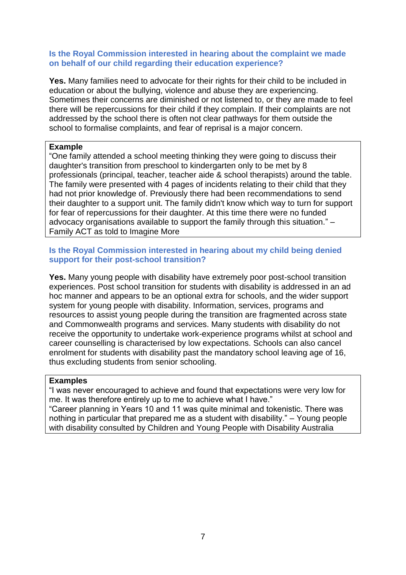### **Is the Royal Commission interested in hearing about the complaint we made on behalf of our child regarding their education experience?**

**Yes.** Many families need to advocate for their rights for their child to be included in education or about the bullying, violence and abuse they are experiencing. Sometimes their concerns are diminished or not listened to, or they are made to feel there will be repercussions for their child if they complain. If their complaints are not addressed by the school there is often not clear pathways for them outside the school to formalise complaints, and fear of reprisal is a major concern.

# **Example**

"One family attended a school meeting thinking they were going to discuss their daughter's transition from preschool to kindergarten only to be met by 8 professionals (principal, teacher, teacher aide & school therapists) around the table. The family were presented with 4 pages of incidents relating to their child that they had not prior knowledge of. Previously there had been recommendations to send their daughter to a support unit. The family didn't know which way to turn for support for fear of repercussions for their daughter. At this time there were no funded advocacy organisations available to support the family through this situation." – Family ACT as told to Imagine More

# **Is the Royal Commission interested in hearing about my child being denied support for their post-school transition?**

**Yes.** Many young people with disability have extremely poor post-school transition experiences. Post school transition for students with disability is addressed in an ad hoc manner and appears to be an optional extra for schools, and the wider support system for young people with disability. Information, services, programs and resources to assist young people during the transition are fragmented across state and Commonwealth programs and services. Many students with disability do not receive the opportunity to undertake work-experience programs whilst at school and career counselling is characterised by low expectations. Schools can also cancel enrolment for students with disability past the mandatory school leaving age of 16, thus excluding students from senior schooling.

#### **Examples**

"I was never encouraged to achieve and found that expectations were very low for me. It was therefore entirely up to me to achieve what I have."

"Career planning in Years 10 and 11 was quite minimal and tokenistic. There was nothing in particular that prepared me as a student with disability." – Young people with disability consulted by Children and Young People with Disability Australia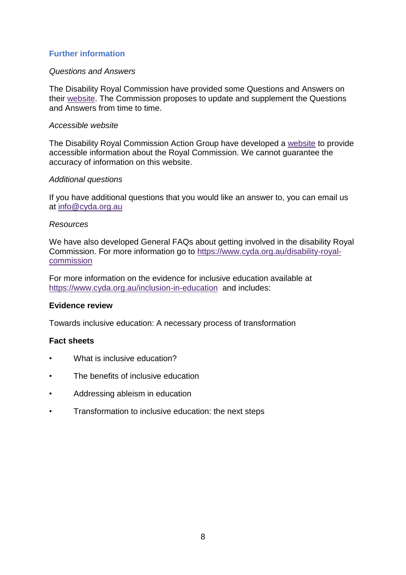# **Further information**

#### *Questions and Answers*

The Disability Royal Commission have provided some Questions and Answers on their [website.](https://disability.royalcommission.gov.au/about/Pages/Questions-and-answers.aspx) The Commission proposes to update and supplement the Questions and Answers from time to time.

### *Accessible website*

The Disability Royal Commission Action Group have developed a [website](https://www.disabilityroyalcommission.com/) to provide accessible information about the Royal Commission. We cannot guarantee the accuracy of information on this website.

### *Additional questions*

If you have additional questions that you would like an answer to, you can email us at [info@cyda.org.au](mailto:info@cyda.org.au)

### *Resources*

We have also developed General FAQs about getting involved in the disability Royal Commission. For more information go to [https://www.cyda.org.au/disability-royal](https://www.cyda.org.au/disability-royal-commission)[commission](https://www.cyda.org.au/disability-royal-commission)

For more information on the evidence for inclusive education available at <https://www.cyda.org.au/inclusion-in-education>and includes:

# **Evidence review**

Towards inclusive education: A necessary process of transformation

# **Fact sheets**

- What is inclusive education?
- The benefits of inclusive education
- Addressing ableism in education
- Transformation to inclusive education: the next steps